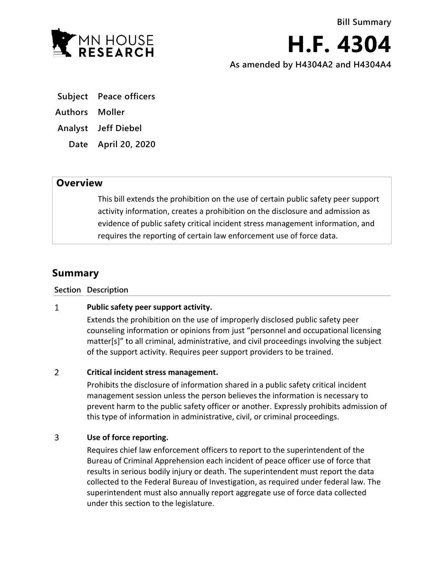

**H.F. 4304 As amended by H4304A2 and H4304A4**

- **Subject Peace officers**
- **Authors Moller**
- **Analyst Jeff Diebel**
	- **Date April 20, 2020**

## **Overview**

This bill extends the prohibition on the use of certain public safety peer support activity information, creates a prohibition on the disclosure and admission as evidence of public safety critical incident stress management information, and requires the reporting of certain law enforcement use of force data.

# **Summary**

**Section Description**

### $\mathbf{1}$ **Public safety peer support activity.**

Extends the prohibition on the use of improperly disclosed public safety peer counseling information or opinions from just "personnel and occupational licensing matter[s]" to all criminal, administrative, and civil proceedings involving the subject of the support activity. Requires peer support providers to be trained.

### $\overline{2}$ **Critical incident stress management.**

Prohibits the disclosure of information shared in a public safety critical incident management session unless the person believes the information is necessary to prevent harm to the public safety officer or another. Expressly prohibits admission of this type of information in administrative, civil, or criminal proceedings.

### 3 **Use of force reporting.**

Requires chief law enforcement officers to report to the superintendent of the Bureau of Criminal Apprehension each incident of peace officer use of force that results in serious bodily injury or death. The superintendent must report the data collected to the Federal Bureau of Investigation, as required under federal law. The superintendent must also annually report aggregate use of force data collected under this section to the legislature.